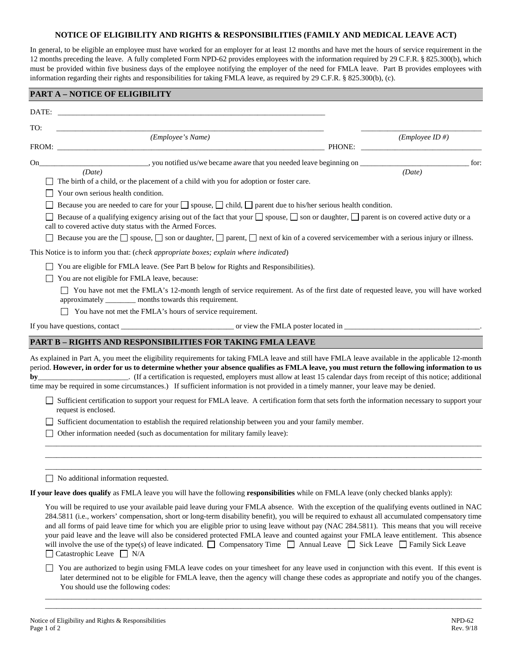## **NOTICE OF ELIGIBILITY AND RIGHTS & RESPONSIBILITIES (FAMILY AND MEDICAL LEAVE ACT)**

In general, to be eligible an employee must have worked for an employer for at least 12 months and have met the hours of service requirement in the 12 months preceding the leave. A fully completed Form NPD-62 provides employees with the information required by 29 C.F.R. § 825.300(b), which must be provided within five business days of the employee notifying the employer of the need for FMLA leave. Part B provides employees with information regarding their rights and responsibilities for taking FMLA leave, as required by 29 C.F.R. § 825.300(b), (c).

|       | <b>PART A - NOTICE OF ELIGIBILITY</b>                                                                                                                                                                                                                                                                                                                                                                                                                                                                                                                                                                                                                                                                                                                                                   |        |                    |
|-------|-----------------------------------------------------------------------------------------------------------------------------------------------------------------------------------------------------------------------------------------------------------------------------------------------------------------------------------------------------------------------------------------------------------------------------------------------------------------------------------------------------------------------------------------------------------------------------------------------------------------------------------------------------------------------------------------------------------------------------------------------------------------------------------------|--------|--------------------|
| DATE: | <u> 1980 - Johann Barn, fransk politik (d. 1980)</u>                                                                                                                                                                                                                                                                                                                                                                                                                                                                                                                                                                                                                                                                                                                                    |        |                    |
| TO:   |                                                                                                                                                                                                                                                                                                                                                                                                                                                                                                                                                                                                                                                                                                                                                                                         |        |                    |
|       | (Employee's Name)                                                                                                                                                                                                                                                                                                                                                                                                                                                                                                                                                                                                                                                                                                                                                                       | PHONE: | $(Employee ID \#)$ |
|       |                                                                                                                                                                                                                                                                                                                                                                                                                                                                                                                                                                                                                                                                                                                                                                                         |        | for:               |
| On    | __________, you notified us/we became aware that you needed leave beginning on ________<br>(Date)                                                                                                                                                                                                                                                                                                                                                                                                                                                                                                                                                                                                                                                                                       |        | (Date)             |
|       | The birth of a child, or the placement of a child with you for adoption or foster care.                                                                                                                                                                                                                                                                                                                                                                                                                                                                                                                                                                                                                                                                                                 |        |                    |
|       | Your own serious health condition.                                                                                                                                                                                                                                                                                                                                                                                                                                                                                                                                                                                                                                                                                                                                                      |        |                    |
|       | Because you are needed to care for your $\Box$ spouse, $\Box$ child, $\Box$ parent due to his/her serious health condition.<br>Because of a qualifying exigency arising out of the fact that your $\Box$ spouse, $\Box$ son or daughter, $\Box$ parent is on covered active duty or a<br>call to covered active duty status with the Armed Forces.                                                                                                                                                                                                                                                                                                                                                                                                                                      |        |                    |
|       | Because you are the $\Box$ spouse, $\Box$ son or daughter, $\Box$ parent, $\Box$ next of kin of a covered servicemember with a serious injury or illness.                                                                                                                                                                                                                                                                                                                                                                                                                                                                                                                                                                                                                               |        |                    |
|       | This Notice is to inform you that: (check appropriate boxes; explain where indicated)                                                                                                                                                                                                                                                                                                                                                                                                                                                                                                                                                                                                                                                                                                   |        |                    |
|       | You are eligible for FMLA leave. (See Part B below for Rights and Responsibilities).                                                                                                                                                                                                                                                                                                                                                                                                                                                                                                                                                                                                                                                                                                    |        |                    |
|       | You are not eligible for FMLA leave, because:                                                                                                                                                                                                                                                                                                                                                                                                                                                                                                                                                                                                                                                                                                                                           |        |                    |
|       | You have not met the FMLA's 12-month length of service requirement. As of the first date of requested leave, you will have worked<br>approximately ________ months towards this requirement.                                                                                                                                                                                                                                                                                                                                                                                                                                                                                                                                                                                            |        |                    |
|       | You have not met the FMLA's hours of service requirement.                                                                                                                                                                                                                                                                                                                                                                                                                                                                                                                                                                                                                                                                                                                               |        |                    |
|       |                                                                                                                                                                                                                                                                                                                                                                                                                                                                                                                                                                                                                                                                                                                                                                                         |        |                    |
|       | <b>PART B - RIGHTS AND RESPONSIBILITIES FOR TAKING FMLA LEAVE</b>                                                                                                                                                                                                                                                                                                                                                                                                                                                                                                                                                                                                                                                                                                                       |        |                    |
| by    | As explained in Part A, you meet the eligibility requirements for taking FMLA leave and still have FMLA leave available in the applicable 12-month<br>period. However, in order for us to determine whether your absence qualifies as FMLA leave, you must return the following information to us<br>(If a certification is requested, employers must allow at least 15 calendar days from receipt of this notice; additional<br>time may be required in some circumstances.) If sufficient information is not provided in a timely manner, your leave may be denied.                                                                                                                                                                                                                   |        |                    |
|       | Sufficient certification to support your request for FMLA leave. A certification form that sets forth the information necessary to support your<br>request is enclosed.                                                                                                                                                                                                                                                                                                                                                                                                                                                                                                                                                                                                                 |        |                    |
|       | Sufficient documentation to establish the required relationship between you and your family member.                                                                                                                                                                                                                                                                                                                                                                                                                                                                                                                                                                                                                                                                                     |        |                    |
|       | Other information needed (such as documentation for military family leave):                                                                                                                                                                                                                                                                                                                                                                                                                                                                                                                                                                                                                                                                                                             |        |                    |
|       |                                                                                                                                                                                                                                                                                                                                                                                                                                                                                                                                                                                                                                                                                                                                                                                         |        |                    |
|       |                                                                                                                                                                                                                                                                                                                                                                                                                                                                                                                                                                                                                                                                                                                                                                                         |        |                    |
|       | No additional information requested.                                                                                                                                                                                                                                                                                                                                                                                                                                                                                                                                                                                                                                                                                                                                                    |        |                    |
|       | If your leave does qualify as FMLA leave you will have the following responsibilities while on FMLA leave (only checked blanks apply):                                                                                                                                                                                                                                                                                                                                                                                                                                                                                                                                                                                                                                                  |        |                    |
|       | You will be required to use your available paid leave during your FMLA absence. With the exception of the qualifying events outlined in NAC<br>284.5811 (i.e., workers' compensation, short or long-term disability benefit), you will be required to exhaust all accumulated compensatory time<br>and all forms of paid leave time for which you are eligible prior to using leave without pay (NAC 284.5811). This means that you will receive<br>your paid leave and the leave will also be considered protected FMLA leave and counted against your FMLA leave entitlement. This absence<br>will involve the use of the type(s) of leave indicated. $\Box$ Compensatory Time $\Box$ Annual Leave $\Box$ Sick Leave $\Box$ Family Sick Leave<br>$\Box$ Catastrophic Leave $\Box$ N/A |        |                    |
|       | You are authorized to begin using FMLA leave codes on your timesheet for any leave used in conjunction with this event. If this event is<br>later determined not to be eligible for FMLA leave, then the agency will change these codes as appropriate and notify you of the changes.<br>You should use the following codes:                                                                                                                                                                                                                                                                                                                                                                                                                                                            |        |                    |

\_\_\_\_\_\_\_\_\_\_\_\_\_\_\_\_\_\_\_\_\_\_\_\_\_\_\_\_\_\_\_\_\_\_\_\_\_\_\_\_\_\_\_\_\_\_\_\_\_\_\_\_\_\_\_\_\_\_\_\_\_\_\_\_\_\_\_\_\_\_\_\_\_\_\_\_\_\_\_\_\_\_\_\_\_\_\_\_\_\_\_\_\_\_\_\_\_\_\_\_\_\_\_\_\_\_\_\_\_\_\_\_\_\_\_\_